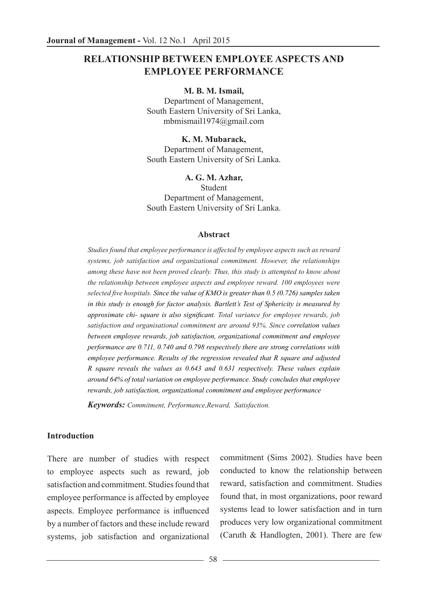# **RELATIONSHIP BETWEEN EMPLOYEE ASPECTS AND EMPLOYEE PERFORMANCE**

#### **M. B. M. Ismail,**

Department of Management, South Eastern University of Sri Lanka, mbmismail1974@gmail.com

**K. M. Mubarack,**  Department of Management, South Eastern University of Sri Lanka.

**A. G. M. Azhar,** 

Student Department of Management, South Eastern University of Sri Lanka.

#### **Abstract**

*Studies found that employee performance is affected by employee aspects such as reward systems, job satisfaction and organizational commitment. However, the relationships among these have not been proved clearly. Thus, this study is attempted to know about the relationship between employee aspects and employee reward. 100 employees were selected five hospitals. Since the value of KMO is greater than 0.5 (0.726) samples taken in this study is enough for factor analysis. Bartlett's Test of Sphericity is measured by approximate chi- square is also significant. Total variance for employee rewards, job satisfaction and organisational commitment are around 93%. Since correlation values between employee rewards, job satisfaction, organizational commitment and employee performance are 0.711, 0.740 and 0.798 respectively there are strong correlations with employee performance. Results of the regression revealed that R square and adjusted R square reveals the values as 0.643 and 0.631 respectively. These values explain around 64% of total variation on employee performance. Study concludes that employee rewards, job satisfaction, organizational commitment and employee performance*

*Keywords: Commitment, Performance,Reward, Satisfaction.*

#### **Introduction**

There are number of studies with respect to employee aspects such as reward, job satisfaction and commitment. Studies found that employee performance is affected by employee aspects. Employee performance is influenced by a number of factors and these include reward systems, job satisfaction and organizational

commitment (Sims 2002). Studies have been conducted to know the relationship between reward, satisfaction and commitment. Studies found that, in most organizations, poor reward systems lead to lower satisfaction and in turn produces very low organizational commitment (Caruth & Handlogten, 2001). There are few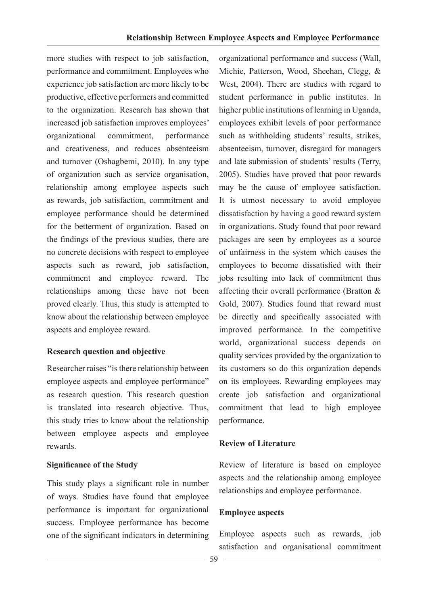more studies with respect to job satisfaction, performance and commitment. Employees who experience job satisfaction are more likely to be productive, effective performers and committed to the organization. Research has shown that increased job satisfaction improves employees' organizational commitment, performance and creativeness, and reduces absenteeism and turnover (Oshagbemi, 2010). In any type of organization such as service organisation, relationship among employee aspects such as rewards, job satisfaction, commitment and employee performance should be determined for the betterment of organization. Based on the findings of the previous studies, there are no concrete decisions with respect to employee aspects such as reward, job satisfaction, commitment and employee reward. The relationships among these have not been proved clearly. Thus, this study is attempted to know about the relationship between employee aspects and employee reward.

## **Research question and objective**

Researcher raises "is there relationship between employee aspects and employee performance" as research question. This research question is translated into research objective. Thus, this study tries to know about the relationship between employee aspects and employee rewards.

## **Significance of the Study**

This study plays a significant role in number of ways. Studies have found that employee performance is important for organizational success. Employee performance has become one of the significant indicators in determining

organizational performance and success (Wall, Michie, Patterson, Wood, Sheehan, Clegg, & West, 2004). There are studies with regard to student performance in public institutes. In higher public institutions of learning in Uganda, employees exhibit levels of poor performance such as withholding students' results, strikes, absenteeism, turnover, disregard for managers and late submission of students' results (Terry, 2005). Studies have proved that poor rewards may be the cause of employee satisfaction. It is utmost necessary to avoid employee dissatisfaction by having a good reward system in organizations. Study found that poor reward packages are seen by employees as a source of unfairness in the system which causes the employees to become dissatisfied with their jobs resulting into lack of commitment thus affecting their overall performance (Bratton & Gold, 2007). Studies found that reward must be directly and specifically associated with improved performance. In the competitive world, organizational success depends on quality services provided by the organization to its customers so do this organization depends on its employees. Rewarding employees may create job satisfaction and organizational commitment that lead to high employee performance.

# **Review of Literature**

Review of literature is based on employee aspects and the relationship among employee relationships and employee performance.

# **Employee aspects**

Employee aspects such as rewards, job satisfaction and organisational commitment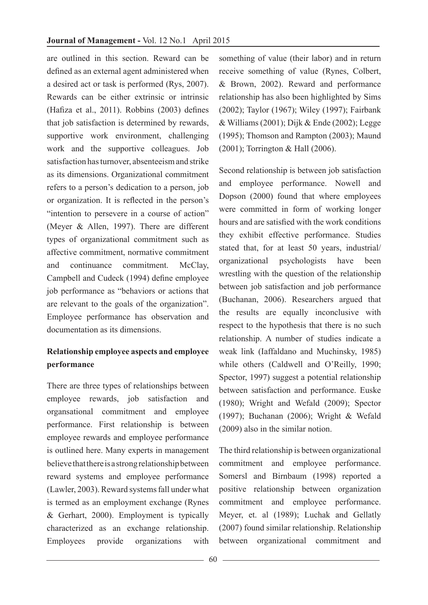are outlined in this section. Reward can be defined as an external agent administered when a desired act or task is performed (Rys, 2007). Rewards can be either extrinsic or intrinsic (Hafiza et al., 2011). Robbins (2003) defines that job satisfaction is determined by rewards, supportive work environment, challenging work and the supportive colleagues. Job satisfaction has turnover, absenteeism and strike as its dimensions. Organizational commitment refers to a person's dedication to a person, job or organization. It is reflected in the person's "intention to persevere in a course of action" (Meyer & Allen, 1997). There are different types of organizational commitment such as affective commitment, normative commitment and continuance commitment McClay Campbell and Cudeck (1994) define employee job performance as "behaviors or actions that are relevant to the goals of the organization". Employee performance has observation and documentation as its dimensions.

# **Relationship employee aspects and employee performance**

There are three types of relationships between employee rewards, job satisfaction and organsational commitment and employee performance. First relationship is between employee rewards and employee performance is outlined here. Many experts in management believe that there is a strong relationship between reward systems and employee performance (Lawler, 2003). Reward systems fall under what is termed as an employment exchange (Rynes & Gerhart, 2000). Employment is typically characterized as an exchange relationship. Employees provide organizations with

something of value (their labor) and in return receive something of value (Rynes, Colbert, & Brown, 2002). Reward and performance relationship has also been highlighted by Sims (2002); Taylor (1967); Wiley (1997); Fairbank  $&$  Williams (2001); Dijk  $&$  Ende (2002); Legge (1995); Thomson and Rampton (2003); Maund (2001); Torrington & Hall (2006).

Second relationship is between job satisfaction and employee performance. Nowell and Dopson (2000) found that where employees were committed in form of working longer hours and are satisfied with the work conditions they exhibit effective performance. Studies stated that, for at least 50 years, industrial/ organizational psychologists have been wrestling with the question of the relationship between job satisfaction and job performance (Buchanan, 2006). Researchers argued that the results are equally inconclusive with respect to the hypothesis that there is no such relationship. A number of studies indicate a weak link (Iaffaldano and Muchinsky, 1985) while others (Caldwell and O'Reilly, 1990; Spector, 1997) suggest a potential relationship between satisfaction and performance. Euske (1980); Wright and Wefald (2009); Spector (1997); Buchanan (2006); Wright & Wefald (2009) also in the similar notion.

The third relationship is between organizational commitment and employee performance. Somersl and Birnbaum (1998) reported a positive relationship between organization commitment and employee performance. Meyer, et. al (1989); Luchak and Gellatly (2007) found similar relationship. Relationship between organizational commitment and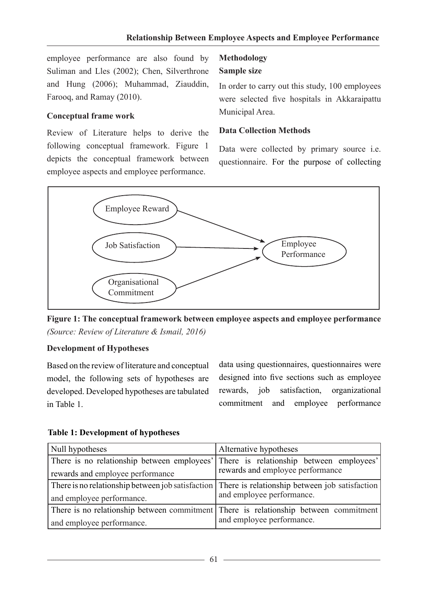employee performance are also found by Suliman and Lles (2002); Chen, Silverthrone and Hung (2006); Muhammad, Ziauddin, Farooq, and Ramay (2010).

## **Conceptual frame work**

Review of Literature helps to derive the following conceptual framework. Figure 1 depicts the conceptual framework between employee aspects and employee performance.

# **Methodology**

## **Sample size**

In order to carry out this study, 100 employees were selected five hospitals in Akkaraipattu Municipal Area.

## **Data Collection Methods**

Data were collected by primary source i.e. questionnaire. For the purpose of collecting





# **Development of Hypotheses**

Based on the review of literature and conceptual model, the following sets of hypotheses are developed. Developed hypotheses are tabulated in Table 1.

data using questionnaires, questionnaires were designed into five sections such as employee rewards, job satisfaction, organizational commitment and employee performance

| Null hypotheses                                                                                  | Alternative hypotheses           |  |  |
|--------------------------------------------------------------------------------------------------|----------------------------------|--|--|
| There is no relationship between employees' There is relationship between employees'             |                                  |  |  |
| rewards and employee performance                                                                 | rewards and employee performance |  |  |
| There is no relationship between job satisfaction There is relationship between job satisfaction |                                  |  |  |
| and employee performance.                                                                        | and employee performance.        |  |  |
| There is no relationship between commitment There is relationship between commitment             |                                  |  |  |
| and employee performance.                                                                        | and employee performance.        |  |  |

## **Table 1: Development of hypotheses**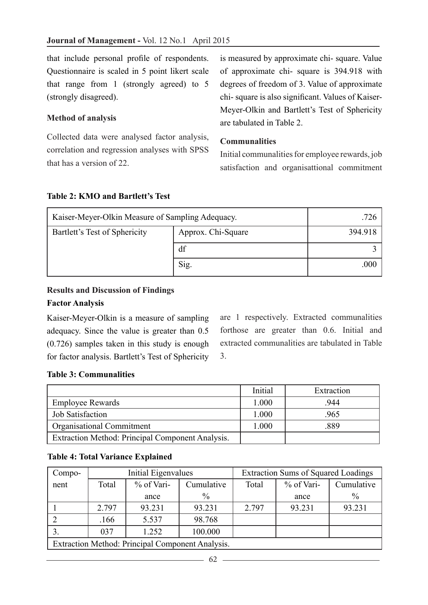that include personal profile of respondents. Questionnaire is scaled in 5 point likert scale that range from 1 (strongly agreed) to 5 (strongly disagreed).

## **Method of analysis**

Collected data were analysed factor analysis, correlation and regression analyses with SPSS that has a version of 22.

is measured by approximate chi- square. Value of approximate chi- square is 394.918 with degrees of freedom of 3. Value of approximate chi- square is also significant. Values of Kaiser-Meyer-Olkin and Bartlett's Test of Sphericity are tabulated in Table 2.

## **Communalities**

Initial communalities for employee rewards, job satisfaction and organisattional commitment

## **Table 2: KMO and Bartlett's Test**

| Kaiser-Meyer-Olkin Measure of Sampling Adequacy.    | .726 |         |
|-----------------------------------------------------|------|---------|
| Bartlett's Test of Sphericity<br>Approx. Chi-Square |      | 394.918 |
|                                                     | df   |         |
|                                                     | Sig. | .000    |

# **Results and Discussion of Findings**

## **Factor Analysis**

Kaiser-Meyer-Olkin is a measure of sampling adequacy. Since the value is greater than 0.5 (0.726) samples taken in this study is enough for factor analysis. Bartlett's Test of Sphericity are 1 respectively. Extracted communalities forthose are greater than 0.6. Initial and extracted communalities are tabulated in Table 3.

#### **Table 3: Communalities**

|                                                  | Initial | Extraction |
|--------------------------------------------------|---------|------------|
| <b>Employee Rewards</b>                          | 1.000   | 944        |
| <b>Job Satisfaction</b>                          | 1.000   | .965       |
| <b>Organisational Commitment</b>                 | 1.000   | .889       |
| Extraction Method: Principal Component Analysis. |         |            |

## **Table 4: Total Variance Explained**

| Compo-                                           | Initial Eigenvalues |        |               |                     | <b>Extraction Sums of Squared Loadings</b> |               |
|--------------------------------------------------|---------------------|--------|---------------|---------------------|--------------------------------------------|---------------|
| nent                                             | % of Vari-<br>Total |        | Cumulative    | % of Vari-<br>Total |                                            | Cumulative    |
|                                                  |                     | ance   | $\frac{0}{0}$ |                     | ance                                       | $\frac{0}{0}$ |
|                                                  | 2.797               | 93.231 | 93.231        | 2.797               | 93.231                                     | 93.231        |
|                                                  | .166                | 5.537  | 98.768        |                     |                                            |               |
|                                                  | 037                 | 1.252  | 100.000       |                     |                                            |               |
| Extraction Method: Principal Component Analysis. |                     |        |               |                     |                                            |               |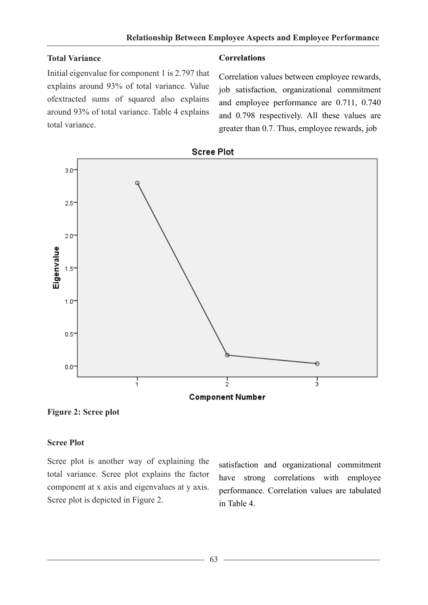#### **Total Variance**

Initial eigenvalue for component 1 is 2.797 that explains around 93% of total variance. Value ofextracted sums of squared also explains around 93% of total variance. Table 4 explains total variance.

#### **Correlations**

Correlation values between employee rewards, job satisfaction, organizational commitment and employee performance are 0.711, 0.740 and 0.798 respectively. All these values are greater than 0.7. Thus, employee rewards, job





**Figure 2: Scree plot**

#### **Scree Plot**

Scree plot is another way of explaining the total variance. Scree plot explains the factor component at x axis and eigenvalues at y axis. Scree plot is depicted in Figure 2.

satisfaction and organizational commitment have strong correlations with employee performance. Correlation values are tabulated in Table 4.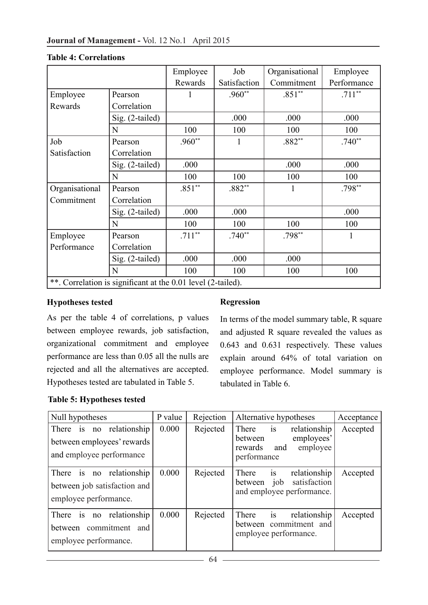|                                                              |                 | Employee | Job          | Organisational | Employee    |  |  |
|--------------------------------------------------------------|-----------------|----------|--------------|----------------|-------------|--|--|
|                                                              |                 | Rewards  | Satisfaction | Commitment     | Performance |  |  |
| Employee                                                     | Pearson         |          | $.960**$     | $.851**$       | $.711**$    |  |  |
| Rewards<br>Correlation                                       |                 |          |              |                |             |  |  |
|                                                              | Sig. (2-tailed) |          | .000         | .000           | .000        |  |  |
|                                                              | N               | 100      | 100          | 100            | 100         |  |  |
| Job                                                          | Pearson         | $.960**$ | 1            | $.882**$       | $.740**$    |  |  |
| Satisfaction                                                 | Correlation     |          |              |                |             |  |  |
|                                                              | Sig. (2-tailed) | .000     |              | .000           | .000        |  |  |
|                                                              | N               | 100      | 100          | 100            | 100         |  |  |
| Organisational                                               | Pearson         | $.851**$ | $.882**$     |                | $.798**$    |  |  |
| Commitment                                                   | Correlation     |          |              |                |             |  |  |
|                                                              | Sig. (2-tailed) | .000     | .000         |                | .000        |  |  |
|                                                              | N               | 100      | 100          | 100            | 100         |  |  |
| Employee                                                     | Pearson         | $.711**$ | $.740**$     | $.798**$       | 1           |  |  |
| Performance                                                  | Correlation     |          |              |                |             |  |  |
|                                                              | Sig. (2-tailed) | .000     | .000         | .000           |             |  |  |
|                                                              | N               | 100      | 100          | 100            | 100         |  |  |
| **. Correlation is significant at the 0.01 level (2-tailed). |                 |          |              |                |             |  |  |

#### **Table 4: Correlations**

## **Hypotheses tested**

As per the table 4 of correlations, p values between employee rewards, job satisfaction, organizational commitment and employee performance are less than 0.05 all the nulls are rejected and all the alternatives are accepted. Hypotheses tested are tabulated in Table 5.

#### **Table 5: Hypotheses tested**

## **Regression**

In terms of the model summary table, R square and adjusted R square revealed the values as 0.643 and 0.631 respectively. These values explain around 64% of total variation on employee performance. Model summary is tabulated in Table 6.

| Null hypotheses                                                                    | P value | Rejection | Alternative hypotheses                                                                         | Acceptance |
|------------------------------------------------------------------------------------|---------|-----------|------------------------------------------------------------------------------------------------|------------|
| There is no relationship<br>between employees' rewards<br>and employee performance | 0.000   | Rejected  | There is<br>relationship<br>employees'<br>between<br>employee<br>and<br>rewards<br>performance | Accepted   |
| There is no relationship<br>between job satisfaction and<br>employee performance.  | 0.000   | Rejected  | $i$ s<br>relationship<br>There<br>job satisfaction<br>between<br>and employee performance.     | Accepted   |
| is no relationship<br>There<br>between commitment and<br>employee performance.     | 0.000   | Rejected  | is<br>There<br>relationship<br>between commitment and<br>employee performance.                 | Accepted   |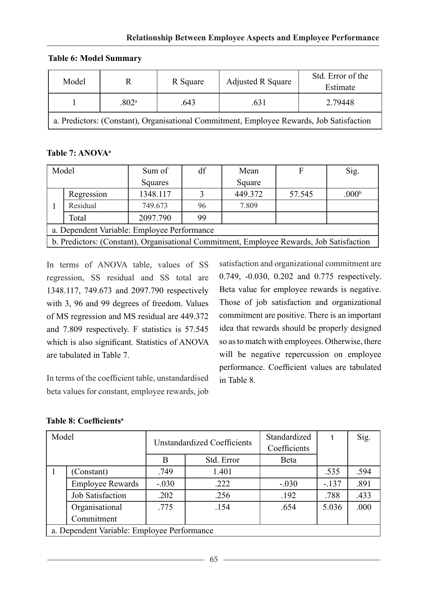**Table 6: Model Summary**

| Model                                                                                    |                   | R Square | <b>Adjusted R Square</b> | Std. Error of the<br>Estimate |  |  |
|------------------------------------------------------------------------------------------|-------------------|----------|--------------------------|-------------------------------|--|--|
|                                                                                          | .802 <sup>a</sup> | .643     | .631                     | 2.79448                       |  |  |
| a. Predictors: (Constant), Organisational Commitment, Employee Rewards, Job Satisfaction |                   |          |                          |                               |  |  |

# **Table 7: ANOVAa**

| Model                                                                                    |            | Sum of   | df | Mean    | F      | Sig.              |
|------------------------------------------------------------------------------------------|------------|----------|----|---------|--------|-------------------|
|                                                                                          |            | Squares  |    | Square  |        |                   |
|                                                                                          | Regression | 1348.117 |    | 449.372 | 57.545 | .000 <sup>b</sup> |
|                                                                                          | Residual   | 749.673  | 96 | 7.809   |        |                   |
|                                                                                          | Total      | 2097.790 | 99 |         |        |                   |
| a. Dependent Variable: Employee Performance                                              |            |          |    |         |        |                   |
| b. Predictors: (Constant), Organisational Commitment, Employee Rewards, Job Satisfaction |            |          |    |         |        |                   |

In terms of ANOVA table, values of SS regression, SS residual and SS total are 1348.117, 749.673 and 2097.790 respectively with 3, 96 and 99 degrees of freedom. Values of MS regression and MS residual are 449.372 and 7.809 respectively. F statistics is 57.545 which is also significant. Statistics of ANOVA are tabulated in Table 7.

In terms of the coefficient table, unstandardised beta values for constant, employee rewards, job satisfaction and organizational commitment are 0.749, -0.030, 0.202 and 0.775 respectively. Beta value for employee rewards is negative. Those of job satisfaction and organizational commitment are positive. There is an important idea that rewards should be properly designed so as to match with employees. Otherwise, there will be negative repercussion on employee performance. Coefficient values are tabulated in Table 8.

| <b>Table 8: Coefficients<sup>a</sup></b> |  |
|------------------------------------------|--|
|------------------------------------------|--|

| Model                                       |                         | <b>Unstandardized Coefficients</b> |            | Standardized |        | Sig. |
|---------------------------------------------|-------------------------|------------------------------------|------------|--------------|--------|------|
|                                             |                         |                                    |            | Coefficients |        |      |
|                                             |                         | B                                  | Std. Error | Beta         |        |      |
|                                             | (Constant)              | .749                               | 1.401      |              | .535   | .594 |
|                                             | <b>Employee Rewards</b> | $-.030$                            | .222       | $-.030$      | $-137$ | .891 |
|                                             | <b>Job Satisfaction</b> | .202                               | .256       | .192         | .788   | .433 |
|                                             | Organisational          | .775                               | .154       | .654         | 5.036  | .000 |
|                                             | Commitment              |                                    |            |              |        |      |
| a. Dependent Variable: Employee Performance |                         |                                    |            |              |        |      |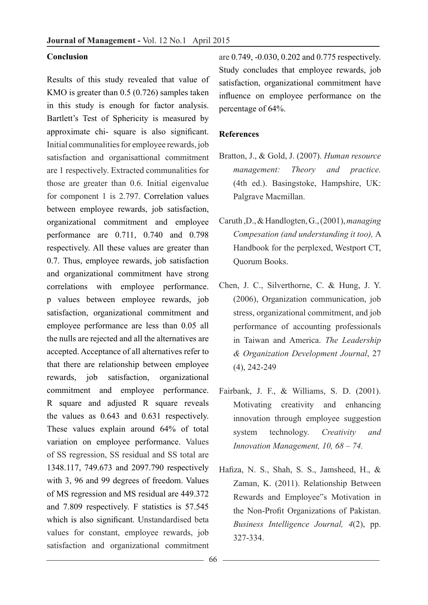#### **Conclusion**

Results of this study revealed that value of KMO is greater than 0.5 (0.726) samples taken in this study is enough for factor analysis. Bartlett's Test of Sphericity is measured by approximate chi- square is also significant. Initial communalities for employee rewards, job satisfaction and organisattional commitment are 1 respectively. Extracted communalities for those are greater than 0.6. Initial eigenvalue for component 1 is 2.797. Correlation values between employee rewards, job satisfaction, organizational commitment and employee performance are 0.711, 0.740 and 0.798 respectively. All these values are greater than 0.7. Thus, employee rewards, job satisfaction and organizational commitment have strong correlations with employee performance. p values between employee rewards, job satisfaction, organizational commitment and employee performance are less than 0.05 all the nulls are rejected and all the alternatives are accepted. Acceptance of all alternatives refer to that there are relationship between employee rewards, job satisfaction, organizational commitment and employee performance. R square and adjusted R square reveals the values as 0.643 and 0.631 respectively. These values explain around 64% of total variation on employee performance. Values of SS regression, SS residual and SS total are 1348.117, 749.673 and 2097.790 respectively with 3, 96 and 99 degrees of freedom. Values of MS regression and MS residual are 449.372 and 7.809 respectively. F statistics is 57.545 which is also significant. Unstandardised beta values for constant, employee rewards, job satisfaction and organizational commitment

are 0.749, -0.030, 0.202 and 0.775 respectively. Study concludes that employee rewards, job satisfaction, organizational commitment have influence on employee performance on the percentage of 64%.

#### **References**

- Bratton, J., & Gold, J. (2007). *Human resource management: Theory and practice.*  (4th ed.). Basingstoke, Hampshire, UK: Palgrave Macmillan.
- Caruth ,D., & Handlogten, G., (2001), *managing Compesation (and understanding it too),* A Handbook for the perplexed, Westport CT, Quorum Books.
- Chen, J. C., Silverthorne, C. & Hung, J. Y. (2006), Organization communication, job stress, organizational commitment, and job performance of accounting professionals in Taiwan and America. *The Leadership & Organization Development Journal*, 27 (4), 242-249
- Fairbank, J. F., & Williams, S. D. (2001). Motivating creativity and enhancing innovation through employee suggestion system technology. *Creativity and Innovation Management, 10, 68 – 74.*
- Hafiza, N. S., Shah, S. S., Jamsheed, H., & Zaman, K. (2011). Relationship Between Rewards and Employee"s Motivation in the Non-Profit Organizations of Pakistan. *Business Intelligence Journal, 4*(2), pp. 327-334.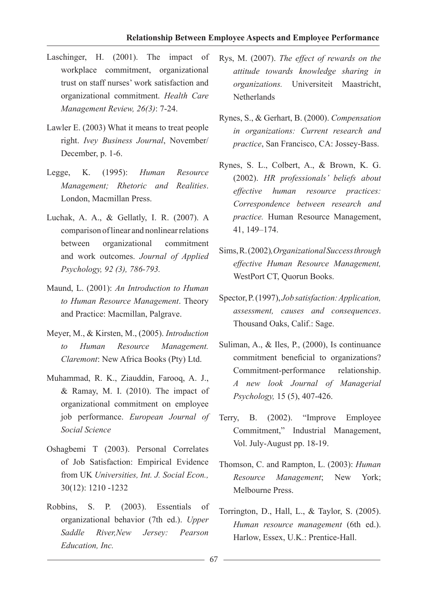- Laschinger, H. (2001). The impact of workplace commitment, organizational trust on staff nurses' work satisfaction and organizational commitment. *Health Care Management Review, 26(3)*: 7-24.
- Lawler E. (2003) What it means to treat people right. *Ivey Business Journal*, November/ December, p. 1-6.
- Legge, K. (1995): *Human Resource Management; Rhetoric and Realities*. London, Macmillan Press.
- Luchak, A. A., & Gellatly, I. R. (2007). A comparison of linear and nonlinear relations between organizational commitment and work outcomes. *Journal of Applied Psychology, 92 (3), 786-793.*
- Maund, L. (2001): *An Introduction to Human to Human Resource Management*. Theory and Practice: Macmillan, Palgrave.
- Meyer, M., & Kirsten, M., (2005). *Introduction to Human Resource Management. Claremont*: New Africa Books (Pty) Ltd.
- Muhammad, R. K., Ziauddin, Farooq, A. J., & Ramay, M. I. (2010). The impact of organizational commitment on employee job performance. *European Journal of Social Science*
- Oshagbemi T (2003). Personal Correlates of Job Satisfaction: Empirical Evidence from UK *Universities, Int. J. Social Econ.,*  30(12): 1210 -1232
- Robbins, S. P. (2003). Essentials of organizational behavior (7th ed.). *Upper Saddle River,New Jersey: Pearson Education, Inc.*
- Rys, M. (2007). *The effect of rewards on the attitude towards knowledge sharing in organizations.* Universiteit Maastricht, **Netherlands**
- Rynes, S., & Gerhart, B. (2000). *Compensation in organizations: Current research and practice*, San Francisco, CA: Jossey-Bass.
- Rynes, S. L., Colbert, A., & Brown, K. G. (2002). *HR professionals' beliefs about effective human resource practices: Correspondence between research and practice.* Human Resource Management, 41, 149–174.
- Sims, R. (2002)*,Organizational Success through effective Human Resource Management,*  WestPort CT, Quorun Books.
- Spector, P. (1997), *Job satisfaction: Application, assessment, causes and consequences*. Thousand Oaks, Calif.: Sage.
- Suliman, A., & Iles, P., (2000), Is continuance commitment beneficial to organizations? Commitment-performance relationship. *A new look Journal of Managerial Psychology,* 15 (5), 407-426.
- Terry, B. (2002). "Improve Employee Commitment," Industrial Management, Vol. July-August pp. 18-19.
- Thomson, C. and Rampton, L. (2003): *Human Resource Management*; New York; Melbourne Press.
- Torrington, D., Hall, L., & Taylor, S. (2005). *Human resource management* (6th ed.). Harlow, Essex, U.K.: Prentice-Hall.